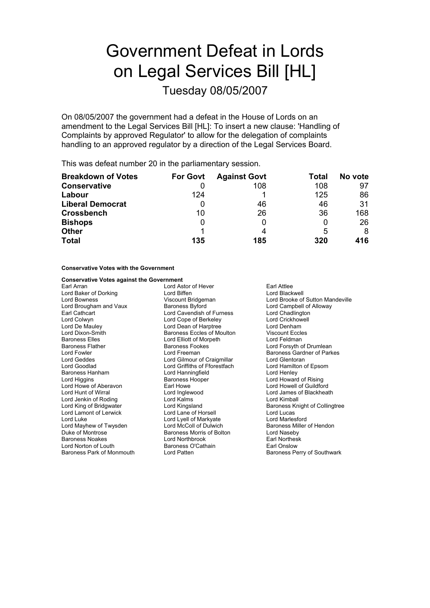# Government Defeat in Lords on Legal Services Bill [HL]

Tuesday 08/05/2007

On 08/05/2007 the government had a defeat in the House of Lords on an amendment to the Legal Services Bill [HL]: To insert a new clause: 'Handling of Complaints by approved Regulator' to allow for the delegation of complaints handling to an approved regulator by a direction of the Legal Services Board.

This was defeat number 20 in the parliamentary session.

| <b>Breakdown of Votes</b> | <b>For Govt</b> | <b>Against Govt</b> | Total | No vote |
|---------------------------|-----------------|---------------------|-------|---------|
| <b>Conservative</b>       |                 | 108                 | 108   | 97      |
| Labour                    | 124             |                     | 125   | 86      |
| <b>Liberal Democrat</b>   | Ü               | 46                  | 46    | 31      |
| <b>Crossbench</b>         | 10              | 26                  | 36    | 168     |
| <b>Bishops</b>            | 0               |                     | 0     | 26      |
| <b>Other</b>              |                 |                     | 5     | 8       |
| <b>Total</b>              | 135             | 185                 | 320   | 416     |

### **Conservative Votes with the Government**

### **Conservative Votes against the Government**

Earl Arran **Earl Attice** Lord Astor of Hever **Earl Attice** Lord Baker of Dorking **Lord Biffen** Lord Biffen **Lord Blackwell**<br>
Lord Bowness Corporation Corporation Corporation Corporation Corporation Corporation Corporation Corporation C Lord Brougham and Vaux Earl Cathcart **Lord Cavendish of Furness** Lord Chadlington Lord Colwyn Lord Cope of Berkeley Lord Crickhowell<br>
Lord De Mauley Lord Dean of Harptree Lord Denham Lord Dixon-Smith Baroness Eccles of Moulton Viscount Eccles Baroness Elles **Lord Elliott of Morpeth** Elles Lord Feldman<br>Baroness Flather **Baroness Fookes** Electroness Fookes Baroness Flather **Baroness Fookes** Lord Forsyth of Drumlean<br>1991 Lord Fookes Lord Freeman<br>1991 Baroness Gardner of Park Lord Geddes Lord Gilmour of Craigmillar Lord Goodlad Lord Griffiths of Fforestfach Lord Hamilton of Epsom Baroness Hanham Lord Higgins Baroness Hooper Lord Howard of Rising Lord Howe of Aberavon Earl Howe Lord Howell of Guildford Lord Hunt of Wirral **Communist Conduct Conduct Conduct Conduct Conduct Conduct Conduct Conduct Conduct Conduct Conduct Conduct Conduct Conduct Conduct Conduct Conduct Conduct Conduct Conduct Conduct Conduct Conduct Conduct** Lord Jenkin of Roding **Lord Kalms**<br>
Lord King of Bridgwater **Lord Kingsland** Lord Lamont of Lerwick Lord Lane of Horsell Lord Lucas Lord Luke<br>
Lord Markew of Twysden **Lord McColl of Dulwich**<br>
Lord Markew of Twysden **Lord McColl of Dulwich** Baroness Miller of Hendon Lord Mayhew of Twysden Lord McColl of Dulwich Baroness Miller Baroness Miller Coll of Dulwich Baroness Miller<br>Duke of Montrose Baroness Morris of Bolton Lord Naseby Duke of Montrose Baroness Morris of Bolton Baroness Noakes **Earl Northbrook**<br>
Lord Norton of Louth **Earl Northbrook** Earl Onslow<br>
Baroness O'Cathain Lord Norton of Louth<br>Baroness Park of Monmouth

Lord Dean of Harptree

Viscount Bridgeman Lord Brooke of Sutton Mandeville<br>
Baroness Byford Campbell of Alloway Baroness Gardner of Parkes<br>Lord Glentoran Baroness Knight of Collingtree Lord Patten **Baroness Perry of Southwark**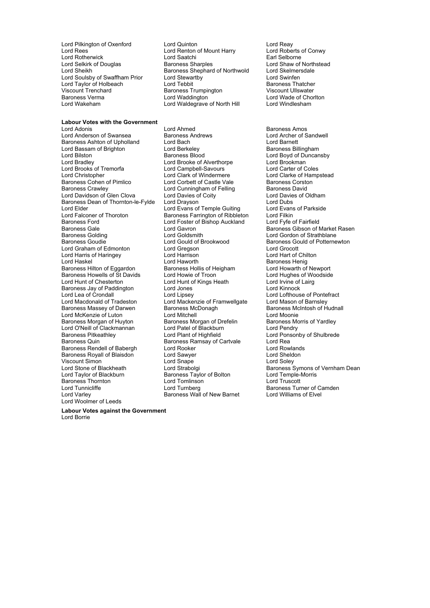### **Labour Votes with the Government**

Lord Anderson of Swansea Baroness Andrews Baroness Andrews Lord Archer Corp.<br>Baroness Ashton of Upholland Lord Bach Corp. Corp. Lord Barnett Baroness Ashton of Upholland Lord Bach Lord Barnett Lord Bassam of Brighton Lord Bilston **Example 2** Exercise Baroness Blood **Lord Boyd of Duncansby**<br>
Lord Bradley **Lord Brooke of Alverthorpe** Lord Brookman Lord Brooks of Tremorfa<br>
Lord Christopher Lord Clark of Windermere Lord Christopher **Lord Clark of Windermere** Lord Clarke of Hampstead<br>
Baroness Cohen of Pimlico **Lord Corbett of Castle Vale** Baroness Corston Baroness Cohen of Pimlico **Lord Corbett of Castle Vale** Baroness Corston<br>Baroness Crawley **Lord Cunningham of Felling** Baroness David Lord Davidson of Glen Clova Lord Davies of Coity<br>
Baroness Dean of Thornton-le-Fylde Lord Drayson Lord Dubs Baroness Dean of Thornton-le-Fylde Lord Drayson Lord Dubs<br>Lord Elder Lord Lord Evans of Temple Guiting Lord Evans of Parkside Lord Elder Lord Evans of Temple Guiting Lord Evans<br>Lord Falconer of Thoroton Lord Baroness Farrington of Ribbleton Lord Filkin Lord Falconer of Thoroton **Falconess Farrington of Ribbleton** Lord Filkin Lord Foster of Bishop Auckland Lord Fyfe of Fairfield Baroness Golding 

Baroness Goulding

Baroness Goulding

Cord Gould of Brook and Gould of Brookwood

Baroness Gould of Potterne<br>
Lord Gould of Brookwood

Lord Goulding

Cord Gould of Brookwood

Lord Goulding Lord Graham of Edmonton Lord Gregson Lord Grocott Lord Harris of Haringey Lord Harrison Lord Hart of Chilton Baroness Hilton of Eggardon Baroness Hollis of Heigham Baroness Hollis of Heigham Baroness Hollis of Howarth D<br>Baroness Howells of St Davids Lord Howie of Troon Baroness Howells of St Davids<br>
Lord Hughes of Woodside<br>
Lord Hunt of Chesterton<br>
Lord Irvine of Lairg Baroness Jay of Paddington Lord Jones<br>
Lord Lea of Crondall
Lord Lipsey Lord Macdonald of Tradeston Lord Mackenzie of Framwellgate Lord Mason of Barnsley<br>
Baroness Massey of Darwen Baroness McDonagh Baroness McIntosh of H Lord McKenzie of Luton Lord Mitchell<br>
Baroness Morgan of Huyton Baroness Morgan of Drefelin Baroness Morris of Yardley Baroness Morgan of Huyton Baroness Morgan of Drefelin Baroness Morgan of Drefelin Baroness Morgan of Oreiding C Lord O'Neill of Clackmannan<br>
Baroness Pitkeathley<br>
Lord Plant of Highfield Baroness Pitkeathley **Lord Plant of Highfield** Lord Ponsonby of Shulbrede<br>Baroness Quin Baroness Ramsay of Cartvale Lord Rea Baroness Rendell of Babergh Lord Rooker Lord Rowlands<br>
Baroness Royall of Blaisdon Lord Sawyer Lord Cord Sheldon Baroness Royall of Blaisdon Lord Sawyer Cord Sheld<br>
Lord Sheldon Lord Shape Lord Sheldon Lord Sheldon Lord Sheldon Viscount Simon<br>
Lord Stone of Blackheath<br>
Lord Strabolgi Baroness Thornton **Example 2** Lord Tomlinson **Lord Truscott**<br>
Lord Turnberg<br>
Lord Turnberg<br>
Baroness Turnberg Lord Tunnicliffe Lord Turnberg Baroness Turner of Camden Lord Varley Baroness Wall of New Barnet Lord Williams of Elvel Lord Woolmer of Leeds

Lord Pilkington of Oxenford Lord Quinton<br>
Lord Reas<br>
Lord Reas Conwy Lord Reason Conwy Lord Roberts of Conwy Lord Renton of Mount Harry Lord Roberts of Lord Roberts<br>Lord Saatchi Lord Rotherwick **Lord Saatchi** Earl Selborne<br>
Lord Selkirk of Douglas **Earl Selborne Baroness Sharples Earl Selborne** Lord Shaw of Northstead Lord Selkirk of Douglas Baroness Sharples Lord Shaw of North<br>Lord Sheikh Baroness Shephard of Northwold Lord Skelmersdale Baroness Shephard of Northwold Lord Skelmer<br>Lord Stewartby Lord Swinfen Lord Soulsby of Swaffham Prior Lord Stewartby Lord Swinfen<br>
Lord Taylor of Holbeach Lord Tebbit Baroness Thatcher Lord Taylor of Holbeach Lord Tebbit Baroness Thatcher Baroness Trumpington<br>Lord Waddington Baroness Verma **and Communist Control Lord Waddington Lord Waddington Lord Wade of Chorlton**<br>
Lord Waldearave of North Hill **Lord Windlesham** Lord Waldegrave of North Hill

Lord Adonis<br>
Lord Anderson of Swansea 
Lord Annes Andrews
Baroness Andrews

Lord Anderson of Swansea

Baroness Andrews

Lord Anderson of Swansea

Baroness Andrews

Lord Anderson of Swansea

Lord Anderson of Swansea Lord Brooke of Alverthorpe Lord Brookman<br>
Lord Campbell-Savours
Lord Carter of Coles Lord Cunningham of Felling Baroness David<br>
Lord Davies of Coity<br>
Lord Davies of Oldham Lord Foster of Bishop Auckland Lord Haworth **Baroness Henig**<br>
Baroness Hollis of Heigham **Baroness Hollis Accepted Howarth of Newport** Lord Hunt of Kings Heath Lord Irvine of<br>
Lord Jones Cord Kinnock Baroness McDonagh Baroness McIntosh of Hudnall<br>Lord Mitchell Baroness McIntosh of Hudnall Baroness Ramsay of Cartvale Lord Rea Baroness Taylor of Bolton

Baroness Gale **Communist Communist Control** Lord Gavron Communist Communist Baroness Gibson of Market Rasen<br>Baroness Golding Communist Communist Communist Communist Communist Communist Communist Communist Communist Com Baroness Gould of Potternewton Lord Lofthouse of Pontefract Lord Stone of Blackheath Lord Strabolgi Cord Strabolging Baroness Symons of Vernham Dean<br>
Lord Taylor of Blackburn Baroness Taylor of Bolton Lord Temple-Morris

**Labour Votes against the Government** Lord Borrie